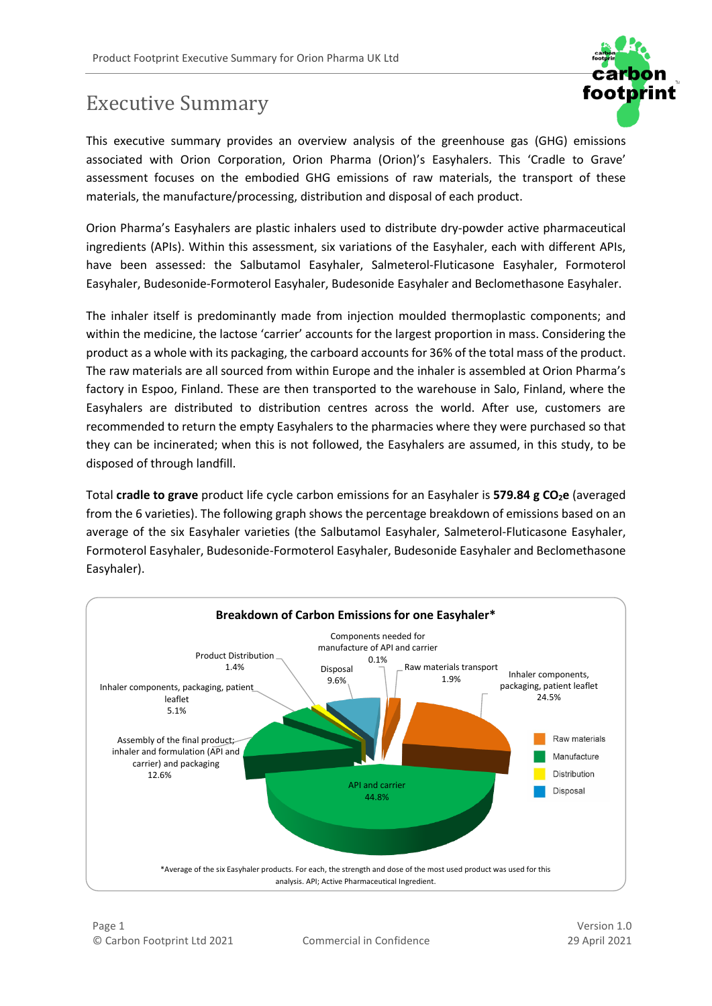

## Executive Summary

This executive summary provides an overview analysis of the greenhouse gas (GHG) emissions associated with Orion Corporation, Orion Pharma (Orion)'s Easyhalers. This 'Cradle to Grave' assessment focuses on the embodied GHG emissions of raw materials, the transport of these materials, the manufacture/processing, distribution and disposal of each product.

Orion Pharma's Easyhalers are plastic inhalers used to distribute dry-powder active pharmaceutical ingredients (APIs). Within this assessment, six variations of the Easyhaler, each with different APIs, have been assessed: the Salbutamol Easyhaler, Salmeterol-Fluticasone Easyhaler, Formoterol Easyhaler, Budesonide-Formoterol Easyhaler, Budesonide Easyhaler and Beclomethasone Easyhaler.

The inhaler itself is predominantly made from injection moulded thermoplastic components; and within the medicine, the lactose 'carrier' accounts for the largest proportion in mass. Considering the product as a whole with its packaging, the carboard accounts for 36% of the total mass of the product. The raw materials are all sourced from within Europe and the inhaler is assembled at Orion Pharma's factory in Espoo, Finland. These are then transported to the warehouse in Salo, Finland, where the Easyhalers are distributed to distribution centres across the world. After use, customers are recommended to return the empty Easyhalers to the pharmacies where they were purchased so that they can be incinerated; when this is not followed, the Easyhalers are assumed, in this study, to be disposed of through landfill.

Total **cradle to grave** product life cycle carbon emissions for an Easyhaler is **579.84 g CO2e** (averaged from the 6 varieties). The following graph shows the percentage breakdown of emissions based on an average of the six Easyhaler varieties (the Salbutamol Easyhaler, Salmeterol-Fluticasone Easyhaler, Formoterol Easyhaler, Budesonide-Formoterol Easyhaler, Budesonide Easyhaler and Beclomethasone Easyhaler).



Version 1.0 29 April 2021